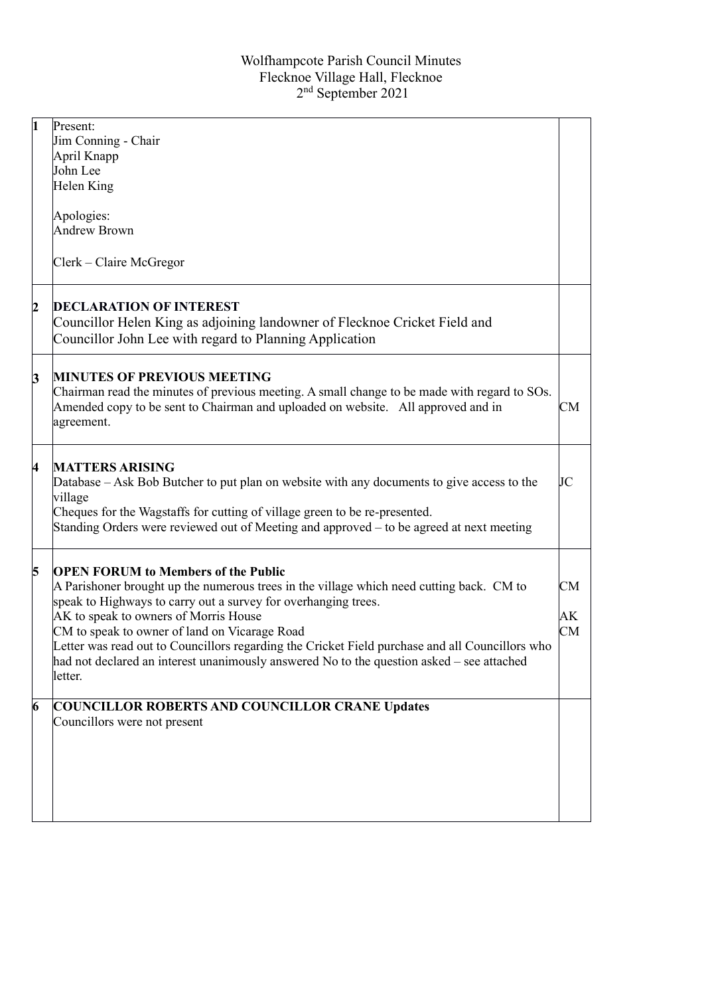| $\overline{\mathbf{1}}$ | Present:<br>Jim Conning - Chair                                                                                                                                                                                                                                                                                                                                                                                                                                                                               |                |
|-------------------------|---------------------------------------------------------------------------------------------------------------------------------------------------------------------------------------------------------------------------------------------------------------------------------------------------------------------------------------------------------------------------------------------------------------------------------------------------------------------------------------------------------------|----------------|
|                         | April Knapp                                                                                                                                                                                                                                                                                                                                                                                                                                                                                                   |                |
|                         | John Lee                                                                                                                                                                                                                                                                                                                                                                                                                                                                                                      |                |
|                         | Helen King                                                                                                                                                                                                                                                                                                                                                                                                                                                                                                    |                |
|                         | Apologies:                                                                                                                                                                                                                                                                                                                                                                                                                                                                                                    |                |
|                         | <b>Andrew Brown</b>                                                                                                                                                                                                                                                                                                                                                                                                                                                                                           |                |
|                         | Clerk - Claire McGregor                                                                                                                                                                                                                                                                                                                                                                                                                                                                                       |                |
| $\overline{2}$          | <b>DECLARATION OF INTEREST</b><br>Councillor Helen King as adjoining landowner of Flecknoe Cricket Field and<br>Councillor John Lee with regard to Planning Application                                                                                                                                                                                                                                                                                                                                       |                |
| 3                       | <b>MINUTES OF PREVIOUS MEETING</b><br>Chairman read the minutes of previous meeting. A small change to be made with regard to SOs.<br>Amended copy to be sent to Chairman and uploaded on website. All approved and in<br>agreement.                                                                                                                                                                                                                                                                          | CM             |
| 4                       | <b>MATTERS ARISING</b><br>Database – Ask Bob Butcher to put plan on website with any documents to give access to the<br>village<br>Cheques for the Wagstaffs for cutting of village green to be re-presented.<br>Standing Orders were reviewed out of Meeting and approved – to be agreed at next meeting                                                                                                                                                                                                     | JC             |
| 5                       | <b>OPEN FORUM to Members of the Public</b><br>A Parishoner brought up the numerous trees in the village which need cutting back. CM to<br>speak to Highways to carry out a survey for overhanging trees.<br>AK to speak to owners of Morris House<br>CM to speak to owner of land on Vicarage Road<br>Letter was read out to Councillors regarding the Cricket Field purchase and all Councillors who<br>had not declared an interest unanimously answered No to the question asked – see attached<br>letter. | CM<br>АK<br>CM |
| $\overline{6}$          | <b>COUNCILLOR ROBERTS AND COUNCILLOR CRANE Updates</b><br>Councillors were not present                                                                                                                                                                                                                                                                                                                                                                                                                        |                |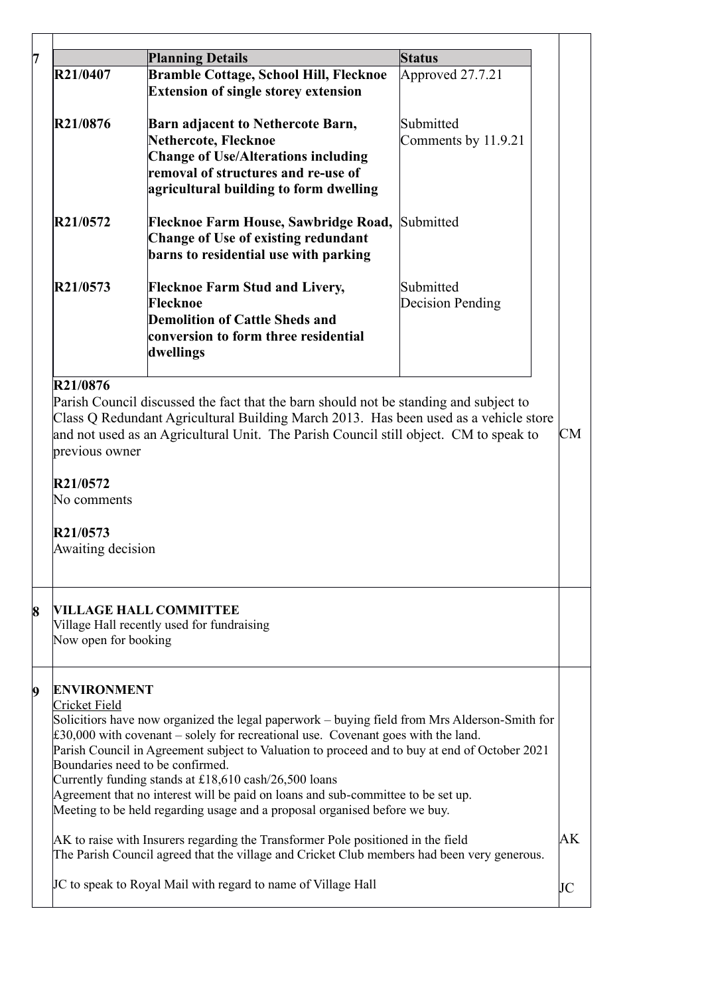|                                              |                                                                                                                                                                                    | <b>Status</b>       |          |
|----------------------------------------------|------------------------------------------------------------------------------------------------------------------------------------------------------------------------------------|---------------------|----------|
| R21/0407                                     | <b>Bramble Cottage, School Hill, Flecknoe</b>                                                                                                                                      | Approved 27.7.21    |          |
|                                              | <b>Extension of single storey extension</b>                                                                                                                                        |                     |          |
| R21/0876                                     | Barn adjacent to Nethercote Barn,                                                                                                                                                  | Submitted           |          |
|                                              | Nethercote, Flecknoe                                                                                                                                                               | Comments by 11.9.21 |          |
|                                              | <b>Change of Use/Alterations including</b>                                                                                                                                         |                     |          |
|                                              | removal of structures and re-use of                                                                                                                                                |                     |          |
|                                              | agricultural building to form dwelling                                                                                                                                             |                     |          |
| R21/0572                                     | Flecknoe Farm House, Sawbridge Road,                                                                                                                                               | Submitted           |          |
|                                              | Change of Use of existing redundant                                                                                                                                                |                     |          |
|                                              | barns to residential use with parking                                                                                                                                              |                     |          |
| R21/0573                                     | <b>Flecknoe Farm Stud and Livery,</b>                                                                                                                                              | Submitted           |          |
|                                              | Flecknoe                                                                                                                                                                           | Decision Pending    |          |
|                                              | <b>Demolition of Cattle Sheds and</b>                                                                                                                                              |                     |          |
|                                              | conversion to form three residential                                                                                                                                               |                     |          |
|                                              | dwellings                                                                                                                                                                          |                     |          |
| R21/0876                                     |                                                                                                                                                                                    |                     |          |
|                                              |                                                                                                                                                                                    |                     |          |
|                                              | Parish Council discussed the fact that the barn should not be standing and subject to                                                                                              |                     |          |
|                                              | Class Q Redundant Agricultural Building March 2013. Has been used as a vehicle store                                                                                               |                     |          |
|                                              | and not used as an Agricultural Unit. The Parish Council still object. CM to speak to                                                                                              |                     | CM       |
| previous owner                               |                                                                                                                                                                                    |                     |          |
| R21/0572                                     |                                                                                                                                                                                    |                     |          |
| No comments                                  |                                                                                                                                                                                    |                     |          |
|                                              |                                                                                                                                                                                    |                     |          |
| R21/0573<br>Awaiting decision                |                                                                                                                                                                                    |                     |          |
|                                              |                                                                                                                                                                                    |                     |          |
|                                              |                                                                                                                                                                                    |                     |          |
|                                              |                                                                                                                                                                                    |                     |          |
|                                              | <b>VILLAGE HALL COMMITTEE</b>                                                                                                                                                      |                     |          |
|                                              | Village Hall recently used for fundraising                                                                                                                                         |                     |          |
|                                              |                                                                                                                                                                                    |                     |          |
|                                              |                                                                                                                                                                                    |                     |          |
|                                              |                                                                                                                                                                                    |                     |          |
|                                              |                                                                                                                                                                                    |                     |          |
| Now open for booking<br><b>Cricket Field</b> | Solicitiors have now organized the legal paperwork – buying field from Mrs Alderson-Smith for                                                                                      |                     |          |
|                                              | £30,000 with covenant – solely for recreational use. Covenant goes with the land.<br>Parish Council in Agreement subject to Valuation to proceed and to buy at end of October 2021 |                     |          |
|                                              | Boundaries need to be confirmed.                                                                                                                                                   |                     |          |
|                                              | Currently funding stands at £18,610 cash/26,500 loans                                                                                                                              |                     |          |
|                                              | Agreement that no interest will be paid on loans and sub-committee to be set up.                                                                                                   |                     |          |
|                                              | Meeting to be held regarding usage and a proposal organised before we buy.                                                                                                         |                     |          |
|                                              | AK to raise with Insurers regarding the Transformer Pole positioned in the field                                                                                                   |                     |          |
|                                              | The Parish Council agreed that the village and Cricket Club members had been very generous.                                                                                        |                     |          |
| <b>ENVIRONMENT</b>                           | JC to speak to Royal Mail with regard to name of Village Hall                                                                                                                      |                     | AK<br>JC |